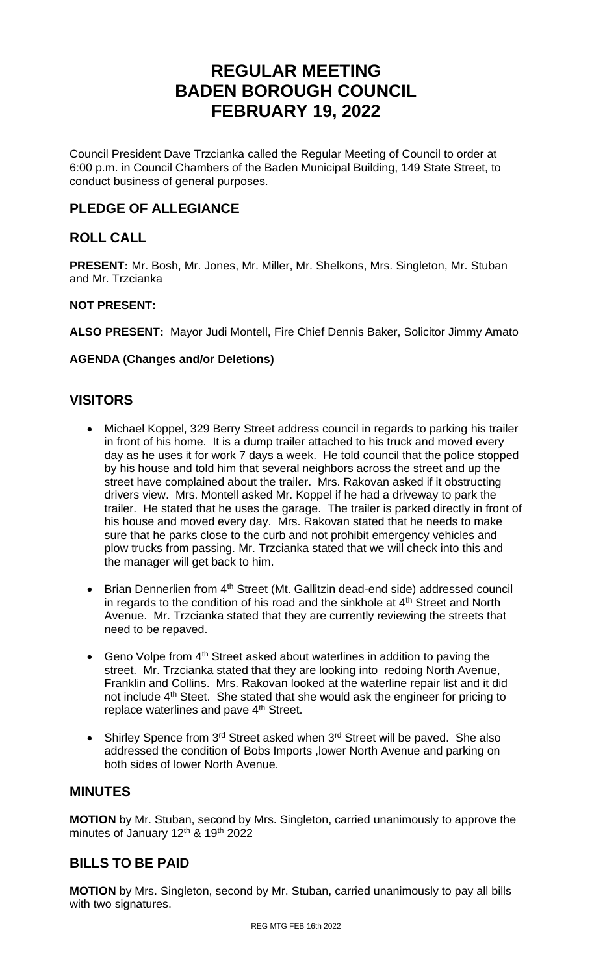# **REGULAR MEETING BADEN BOROUGH COUNCIL FEBRUARY 19, 2022**

Council President Dave Trzcianka called the Regular Meeting of Council to order at 6:00 p.m. in Council Chambers of the Baden Municipal Building, 149 State Street, to conduct business of general purposes.

# **PLEDGE OF ALLEGIANCE**

# **ROLL CALL**

**PRESENT:** Mr. Bosh, Mr. Jones, Mr. Miller, Mr. Shelkons, Mrs. Singleton, Mr. Stuban and Mr. Trzcianka

### **NOT PRESENT:**

**ALSO PRESENT:** Mayor Judi Montell, Fire Chief Dennis Baker, Solicitor Jimmy Amato

# **AGENDA (Changes and/or Deletions)**

# **VISITORS**

- Michael Koppel, 329 Berry Street address council in regards to parking his trailer in front of his home. It is a dump trailer attached to his truck and moved every day as he uses it for work 7 days a week. He told council that the police stopped by his house and told him that several neighbors across the street and up the street have complained about the trailer. Mrs. Rakovan asked if it obstructing drivers view. Mrs. Montell asked Mr. Koppel if he had a driveway to park the trailer. He stated that he uses the garage. The trailer is parked directly in front of his house and moved every day. Mrs. Rakovan stated that he needs to make sure that he parks close to the curb and not prohibit emergency vehicles and plow trucks from passing. Mr. Trzcianka stated that we will check into this and the manager will get back to him.
- Brian Dennerlien from 4<sup>th</sup> Street (Mt. Gallitzin dead-end side) addressed council in regards to the condition of his road and the sinkhole at  $4<sup>th</sup>$  Street and North Avenue. Mr. Trzcianka stated that they are currently reviewing the streets that need to be repaved.
- Geno Volpe from  $4<sup>th</sup>$  Street asked about waterlines in addition to paving the street. Mr. Trzcianka stated that they are looking into redoing North Avenue, Franklin and Collins. Mrs. Rakovan looked at the waterline repair list and it did not include 4<sup>th</sup> Steet. She stated that she would ask the engineer for pricing to replace waterlines and pave 4<sup>th</sup> Street.
- Shirley Spence from  $3^{rd}$  Street asked when  $3^{rd}$  Street will be paved. She also addressed the condition of Bobs Imports ,lower North Avenue and parking on both sides of lower North Avenue.

# **MINUTES**

**MOTION** by Mr. Stuban, second by Mrs. Singleton, carried unanimously to approve the minutes of January 12<sup>th</sup> & 19<sup>th</sup> 2022

# **BILLS TO BE PAID**

**MOTION** by Mrs. Singleton, second by Mr. Stuban, carried unanimously to pay all bills with two signatures.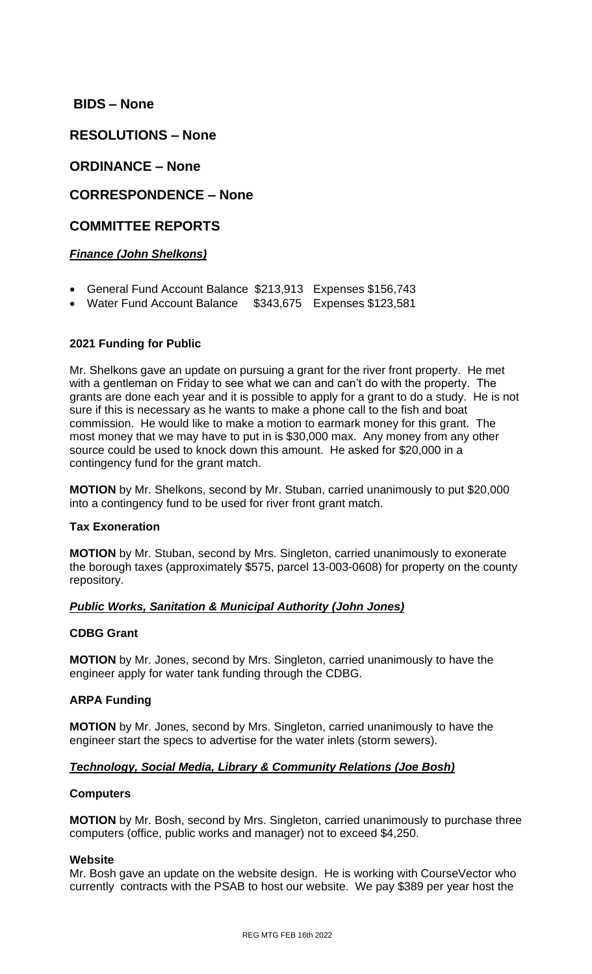# **BIDS – None**

**RESOLUTIONS – None**

# **ORDINANCE – None**

# **CORRESPONDENCE – None**

# **COMMITTEE REPORTS**

# *Finance (John Shelkons)*

- General Fund Account Balance \$213,913 Expenses \$156,743
- Water Fund Account Balance \$343,675 Expenses \$123,581

# **2021 Funding for Public**

Mr. Shelkons gave an update on pursuing a grant for the river front property. He met with a gentleman on Friday to see what we can and can't do with the property. The grants are done each year and it is possible to apply for a grant to do a study. He is not sure if this is necessary as he wants to make a phone call to the fish and boat commission. He would like to make a motion to earmark money for this grant. The most money that we may have to put in is \$30,000 max. Any money from any other source could be used to knock down this amount. He asked for \$20,000 in a contingency fund for the grant match.

**MOTION** by Mr. Shelkons, second by Mr. Stuban, carried unanimously to put \$20,000 into a contingency fund to be used for river front grant match.

#### **Tax Exoneration**

**MOTION** by Mr. Stuban, second by Mrs. Singleton, carried unanimously to exonerate the borough taxes (approximately \$575, parcel 13-003-0608) for property on the county repository.

# *Public Works, Sanitation & Municipal Authority (John Jones)*

#### **CDBG Grant**

**MOTION** by Mr. Jones, second by Mrs. Singleton, carried unanimously to have the engineer apply for water tank funding through the CDBG.

# **ARPA Funding**

**MOTION** by Mr. Jones, second by Mrs. Singleton, carried unanimously to have the engineer start the specs to advertise for the water inlets (storm sewers).

# *Technology, Social Media, Library & Community Relations (Joe Bosh)*

#### **Computers**

**MOTION** by Mr. Bosh, second by Mrs. Singleton, carried unanimously to purchase three computers (office, public works and manager) not to exceed \$4,250.

#### **Website**

Mr. Bosh gave an update on the website design. He is working with CourseVector who currently contracts with the PSAB to host our website. We pay \$389 per year host the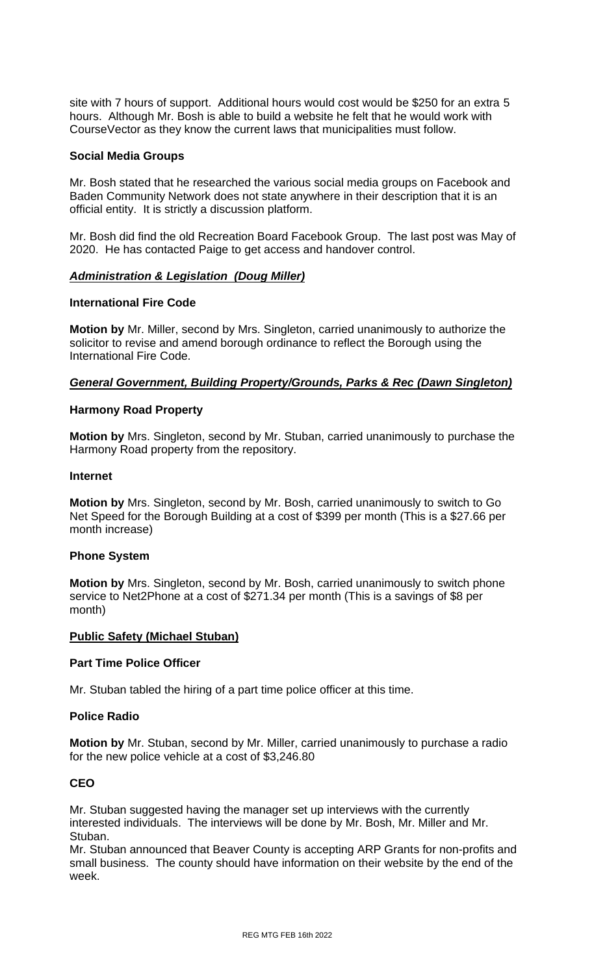site with 7 hours of support. Additional hours would cost would be \$250 for an extra 5 hours. Although Mr. Bosh is able to build a website he felt that he would work with CourseVector as they know the current laws that municipalities must follow.

#### **Social Media Groups**

Mr. Bosh stated that he researched the various social media groups on Facebook and Baden Community Network does not state anywhere in their description that it is an official entity. It is strictly a discussion platform.

Mr. Bosh did find the old Recreation Board Facebook Group. The last post was May of 2020. He has contacted Paige to get access and handover control.

### *Administration & Legislation (Doug Miller)*

#### **International Fire Code**

**Motion by** Mr. Miller, second by Mrs. Singleton, carried unanimously to authorize the solicitor to revise and amend borough ordinance to reflect the Borough using the International Fire Code.

### *General Government, Building Property/Grounds, Parks & Rec (Dawn Singleton)*

#### **Harmony Road Property**

**Motion by** Mrs. Singleton, second by Mr. Stuban, carried unanimously to purchase the Harmony Road property from the repository.

#### **Internet**

**Motion by** Mrs. Singleton, second by Mr. Bosh, carried unanimously to switch to Go Net Speed for the Borough Building at a cost of \$399 per month (This is a \$27.66 per month increase)

#### **Phone System**

**Motion by** Mrs. Singleton, second by Mr. Bosh, carried unanimously to switch phone service to Net2Phone at a cost of \$271.34 per month (This is a savings of \$8 per month)

#### **Public Safety (Michael Stuban)**

#### **Part Time Police Officer**

Mr. Stuban tabled the hiring of a part time police officer at this time.

#### **Police Radio**

**Motion by** Mr. Stuban, second by Mr. Miller, carried unanimously to purchase a radio for the new police vehicle at a cost of \$3,246.80

#### **CEO**

Mr. Stuban suggested having the manager set up interviews with the currently interested individuals. The interviews will be done by Mr. Bosh, Mr. Miller and Mr. Stuban.

Mr. Stuban announced that Beaver County is accepting ARP Grants for non-profits and small business. The county should have information on their website by the end of the week.